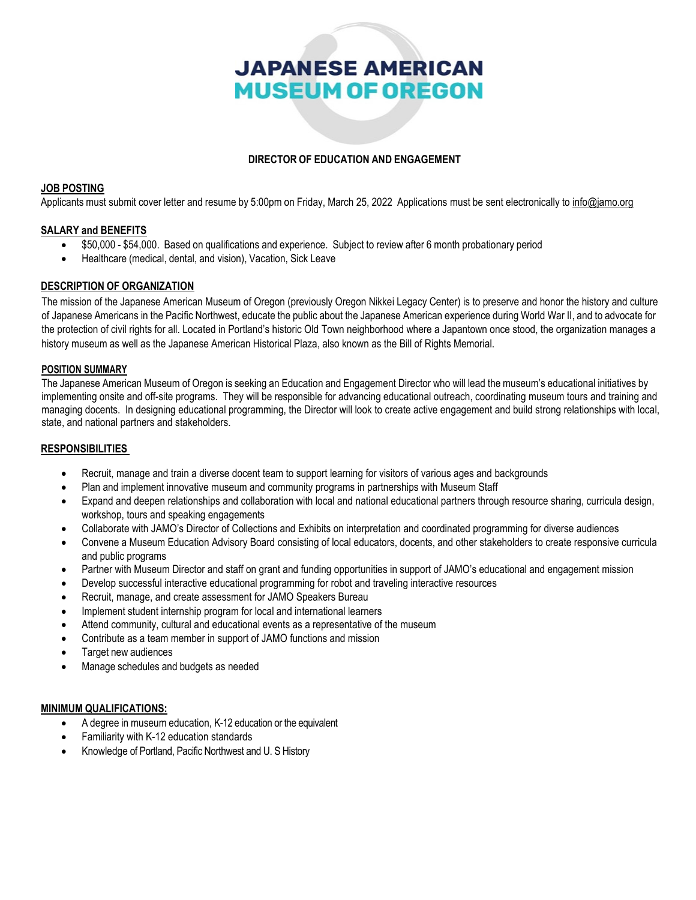# **JAPANESE AMERICAN MUSEUM OF OREGON**

# **DIRECTOR OF EDUCATION AND ENGAGEMENT**

## **JOB POSTING**

Applicants must submit cover letter and resume by 5:00pm on Friday, March 25, 2022 Applications must be sent electronically to [info@jamo.org](mailto:resume@oregonnikkei.org)

## **SALARY and BENEFITS**

- \$50,000 \$54,000. Based on qualifications and experience. Subject to review after 6 month probationary period
- Healthcare (medical, dental, and vision), Vacation, Sick Leave

## **DESCRIPTION OF ORGANIZATION**

The mission of the Japanese American Museum of Oregon (previously Oregon Nikkei Legacy Center) is to preserve and honor the history and culture of Japanese Americans in the Pacific Northwest, educate the public about the Japanese American experience during World War II, and to advocate for the protection of civil rights for all. Located in Portland's historic Old Town neighborhood where a Japantown once stood, the organization manages a history museum as well as the Japanese American Historical Plaza, also known as the Bill of Rights Memorial.

#### **POSITION SUMMARY**

The Japanese American Museum of Oregon is seeking an Education and Engagement Director who will lead the museum's educational initiatives by implementing onsite and off-site programs. They will be responsible for advancing educational outreach, coordinating museum tours and training and managing docents. In designing educational programming, the Director will look to create active engagement and build strong relationships with local, state, and national partners and stakeholders.

#### **RESPONSIBILITIES**

- Recruit, manage and train a diverse docent team to support learning for visitors of various ages and backgrounds
- Plan and implement innovative museum and community programs in partnerships with Museum Staff
- Expand and deepen relationships and collaboration with local and national educational partners through resource sharing, curricula design, workshop, tours and speaking engagements
- Collaborate with JAMO's Director of Collections and Exhibits on interpretation and coordinated programming for diverse audiences
- Convene a Museum Education Advisory Board consisting of local educators, docents, and other stakeholders to create responsive curricula and public programs
- Partner with Museum Director and staff on grant and funding opportunities in support of JAMO's educational and engagement mission
- Develop successful interactive educational programming for robot and traveling interactive resources
- Recruit, manage, and create assessment for JAMO Speakers Bureau
- Implement student internship program for local and international learners
- Attend community, cultural and educational events as a representative of the museum
- Contribute as a team member in support of JAMO functions and mission
- Target new audiences
- Manage schedules and budgets as needed

## **MINIMUM QUALIFICATIONS:**

- A degree in museum education, K-12 education or the equivalent
- Familiarity with K-12 education standards
- Knowledge of Portland, Pacific Northwest and U. S History